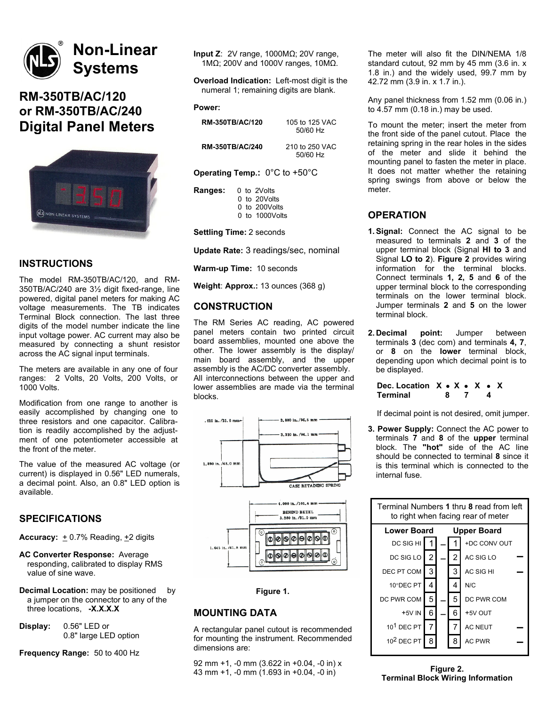# **Non-Linear Systems**

# **RM-350TB/AC/120 or RM-350TB/AC/240 Digital Panel Meters**



# **INSTRUCTIONS**

The model RM-350TB/AC/120, and RM-350TB/AC/240 are 3½ digit fixed-range, line powered, digital panel meters for making AC voltage measurements. The TB indicates Terminal Block connection. The last three digits of the model number indicate the line input voltage power. AC current may also be measured by connecting a shunt resistor across the AC signal input terminals.

The meters are available in any one of four ranges: 2 Volts, 20 Volts, 200 Volts, or 1000 Volts.

Modification from one range to another is easily accomplished by changing one to three resistors and one capacitor. Calibration is readily accomplished by the adjustment of one potentiometer accessible at the front of the meter.

The value of the measured AC voltage (or current) is displayed in 0.56" LED numerals, a decimal point. Also, an 0.8" LED option is available.

## **SPECIFICATIONS**

**Accuracy:**  $+0.7\%$  Reading,  $+2$  digits

**AC Converter Response:** Average responding, calibrated to display RMS value of sine wave.

**Decimal Location:** may be positioned by a jumper on the connector to any of the three locations, **-X.X.X.X**

**Display:** 0.56" LED or 0.8" large LED option

**Frequency Range:** 50 to 400 Hz

**Input Z**: 2V range, 1000MΩ; 20V range, 1MΩ; 200V and 1000V ranges, 10MΩ.

**Overload Indication:** Left-most digit is the numeral 1; remaining digits are blank.

#### **Power:**

| <b>RM-350TB/AC/120</b> | 105 to 125 VAC |
|------------------------|----------------|
|                        | 50/60 Hz       |
|                        |                |

50/60 Hz

**RM-350TB/AC/240** 210 to 250 VAC

**Operating Temp.:** 0°C to +50°C

| Ranges: | 0 to 2Volts       |
|---------|-------------------|
|         | 0 to 20Volts      |
|         | $0$ to 200 Volts  |
|         | $0$ to 1000 Volts |
|         |                   |

**Settling Time:** 2 seconds

**Update Rate:** 3 readings/sec, nominal

**Warm-up Time:** 10 seconds

**Weight**: **Approx.:** 13 ounces (368 g)

# **CONSTRUCTION**

The RM Series AC reading, AC powered panel meters contain two printed circuit board assemblies, mounted one above the other. The lower assembly is the display/ main board assembly, and the upper assembly is the AC/DC converter assembly. All interconnections between the upper and lower assemblies are made via the terminal blocks.







## **MOUNTING DATA**

A rectangular panel cutout is recommended for mounting the instrument. Recommended dimensions are:

92 mm +1, -0 mm (3.622 in +0.04, -0 in) x 43 mm +1, -0 mm (1.693 in +0.04, -0 in)

The meter will also fit the DIN/NEMA 1/8 standard cutout, 92 mm by 45 mm (3.6 in. x 1.8 in.) and the widely used, 99.7 mm by 42.72 mm (3.9 in. x 1.7 in.).

Any panel thickness from 1.52 mm (0.06 in.) to 4.57 mm (0.18 in.) may be used.

To mount the meter; insert the meter from the front side of the panel cutout. Place the retaining spring in the rear holes in the sides of the meter and slide it behind the mounting panel to fasten the meter in place. It does not matter whether the retaining spring swings from above or below the meter.

# **OPERATION**

- **1.Signal:** Connect the AC signal to be measured to terminals **2** and **3** of the upper terminal block (Signal **HI to 3** and Signal **LO to 2**). **Figure 2** provides wiring information for the terminal blocks. Connect terminals **1, 2, 5** and **6** of the upper terminal block to the corresponding terminals on the lower terminal block. Jumper terminals **2** and **5** on the lower terminal block.
- **2. Decimal point:** Jumper between terminals **3** (dec com) and terminals **4, 7**, or **8** on the **lower** terminal block, depending upon which decimal point is to be displayed.

**Dec. Location**  $X \cdot X \cdot X \cdot X$ **<br>Terminal 8 7 4 Terminal 8 7 4**

If decimal point is not desired, omit jumper.

**3. Power Supply:** Connect the AC power to terminals **7** and **8** of the **upper** terminal block. The **"hot"** side of the AC line should be connected to terminal **8** since it is this terminal which is connected to the internal fuse.

| Terminal Numbers 1 thru 8 read from left<br>to right when facing rear of meter |   |  |   |                    |  |
|--------------------------------------------------------------------------------|---|--|---|--------------------|--|
| <b>Lower Board</b>                                                             |   |  |   | <b>Upper Board</b> |  |
| DC SIG HI                                                                      |   |  |   | +DC CONV OUT       |  |
| DC SIG LO                                                                      | 2 |  | 2 | AC SIG LO          |  |
| DEC PT COM                                                                     | 3 |  | 3 | AC SIG HI          |  |
| 10°DEC PT                                                                      | 4 |  | 4 | N/C                |  |
| DC PWR COM                                                                     | 5 |  | 5 | DC PWR COM         |  |
| +5V IN                                                                         | 6 |  | 6 | +5V OUT            |  |
| $101$ DEC PT                                                                   | 7 |  | 7 | <b>AC NEUT</b>     |  |
| 10 <sup>2</sup> DEC PT                                                         | 8 |  | 8 | <b>AC PWR</b>      |  |

**Figure 2. Terminal Block Wiring Information**